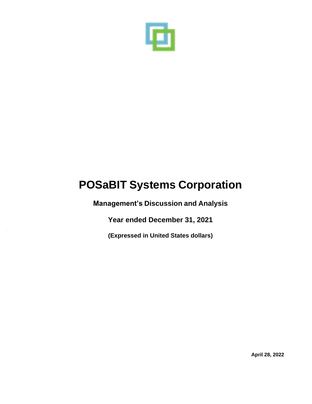

**Management's Discussion and Analysis** 

**Year ended December 31, 2021** 

**(Expressed in United States dollars)**

**April 28, 2022**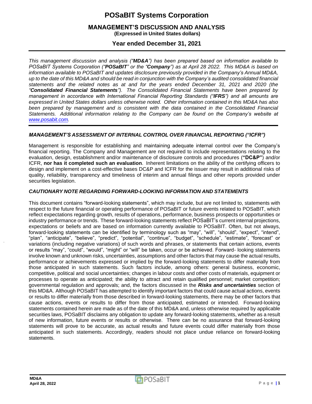### **MANAGEMENT'S DISCUSSION AND ANALYSIS (Expressed in United States dollars)**

**Year ended December 31, 2021**

*This management discussion and analysis ("MD&A") has been prepared based on information available to POSaBIT Systems Corporation ("POSaBIT" or the "Company") as at April 28 2022. This MD&A is based on information available to POSaBIT and updates disclosure previously provided in the Company's Annual MD&A,*  up to the date of this MD&A and should be read in conjunction with the Company's audited consolidated financial *statements and the related notes as at and for the years ended December 31, 2021 and 2020 (the "Consolidated Financial Statements"). The Consolidated Financial Statements have been prepared by management in accordance with International Financial Reporting Standards ("IFRS") and all amounts are expressed in United States dollars unless otherwise noted. Other information contained in this MD&A has also*  been prepared by management and is consistent with the data contained in the Consolidated Financial *Statements. Additional information relating to the Company can be found on the Company's website at [www.posabit.com.](http://www.posabit.com/)*

#### *MANAGEMENT'S ASSESSMENT OF INTERNAL CONTROL OVER FINANCIAL REPORTING ("ICFR")*

Management is responsible for establishing and maintaining adequate internal control over the Company's financial reporting. The Company and Management are not required to include representations relating to the evaluation, design, establishment and/or maintenance of disclosure controls and procedures (**"DC&P"**) and/or ICFR, **nor has it completed such an evaluation**. Inherent limitations on the ability of the certifying officers to design and implement on a cost-effective bases DC&P and ICFR for the issuer may result in additional risks of quality, reliability, transparency and timeliness of interim and annual filings and other reports provided under securities legislation.

#### *CAUTIONARY NOTE REGARDING FORWARD-LOOKING INFORMATION AND STATEMENTS*

This document contains "forward-looking statements", which may include, but are not limited to, statements with respect to the future financial or operating performance of POSaBIT or future events related to POSaBIT, which reflect expectations regarding growth, results of operations, performance, business prospects or opportunities or industry performance or trends. These forward-looking statements reflect POSaBIT's current internal projections, expectations or beliefs and are based on information currently available to POSaBIT. Often, but not always, forward-looking statements can be identified by terminology such as "may", "will", "should", "expect", "intend", "plan", "anticipate", "believe", "predict", "potential", "continue", "budget", "schedule", "estimate", "forecast" or variations (including negative variations) of such words and phrases, or statements that certain actions, events or results "may", "could", "would", "might" or "will" be taken, occur or be achieved. Forward- looking statements involve known and unknown risks, uncertainties, assumptions and other factors that may cause the actual results, performance or achievements expressed or implied by the forward-looking statements to differ materially from those anticipated in such statements. Such factors include, among others: general business, economic, competitive, political and social uncertainties; changes in labour costs and other costs of materials, equipment or processes to operate as anticipated; the ability to attract and retain qualified personnel; market competition; governmental regulation and approvals; and, the factors discussed in the *Risks and uncertainties* section of this MD&A. Although POSaBIT has attempted to identify important factors that could cause actual actions, events or results to differ materially from those described in forward-looking statements, there may be other factors that cause actions, events or results to differ from those anticipated, estimated or intended. Forward-looking statements contained herein are made as of the date of this MD&A and, unless otherwise required by applicable securities laws, POSaBIT disclaims any obligation to update any forward-looking statements, whether as a result of new information, future events or results or otherwise. There can be no assurance that forward-looking statements will prove to be accurate, as actual results and future events could differ materially from those anticipated in such statements. Accordingly, readers should not place undue reliance on forward-looking statements.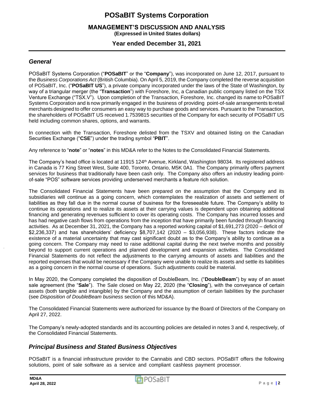#### **MANAGEMENT'S DISCUSSION AND ANALYSIS (Expressed in United States dollars)**

**Year ended December 31, 2021**

### *General*

POSaBIT Systems Corporation ("**POSaBIT**" or the "**Company**"), was incorporated on June 12, 2017, pursuant to the *Business Corporations Act* (British Columbia). On April 5, 2019, the Company completed the reverse acquisition of POSaBIT, Inc. ("**POSaBIT US**"), a private company incorporated under the laws of the State of Washington, by way of a triangular merger (the "**Transaction**") with Foreshore, Inc, a Canadian public company listed on the TSX Venture Exchange ("TSX.V"). Upon completion of the Transaction, Foreshore, Inc. changed its name to POSaBIT Systems Corporation and is now primarily engaged in the business of providing point-of-sale arrangements to retail merchants designed to offer consumers an easy way to purchase goods and services. Pursuant to the Transaction, the shareholders of POSaBIT US received 1.7539815 securities of the Company for each security of POSaBIT US held including common shares, options, and warrants.

In connection with the Transaction, Foreshore delisted from the TSXV and obtained listing on the Canadian Securities Exchange ("**CSE**") under the trading symbol "**PBIT**".

Any reference to "**note**" or "**notes**" in this MD&A refer to the Notes to the Consolidated Financial Statements.

The Company's head office is located at 11915 124<sup>th</sup> Avenue, Kirkland, Washington 98034. Its registered address in Canada is 77 King Street West, Suite 400, Toronto, Ontario, M5K 0A1. The Company primarily offers payment services for business that traditionally have been cash only. The Company also offers an industry leading pointof-sale "POS" software services providing underserved merchants a feature rich solution.

The Consolidated Financial Statements have been prepared on the assumption that the Company and its subsidiaries will continue as a going concern, which contemplates the realization of assets and settlement of liabilities as they fall due in the normal course of business for the foreseeable future. The Company's ability to continue its operations and to realize its assets at their carrying values is dependent upon obtaining additional financing and generating revenues sufficient to cover its operating costs. The Company has incurred losses and has had negative cash flows from operations from the inception that have primarily been funded through financing activities. As at December 31, 2021, the Company has a reported working capital of \$1,691,273 (2020 – deficit of \$2,236,337) and has shareholders' deficiency \$8,707,142 (2020 – \$3,056,938). These factors indicate the existence of a material uncertainty that may cast significant doubt as to the Company's ability to continue as a going concern. The Company may need to raise additional capital during the next twelve months and possibly beyond to support current operations and planned development and expansion activities. The Consolidated Financial Statements do not reflect the adjustments to the carrying amounts of assets and liabilities and the reported expenses that would be necessary if the Company were unable to realize its assets and settle its liabilities as a going concern in the normal course of operations. Such adjustments could be material.

In May 2020, the Company completed the disposition of DoubleBeam, Inc. ("**DoubleBeam**") by way of an asset sale agreement (the "**Sale**"). The Sale closed on May 22, 2020 (the "**Closing**"), with the conveyance of certain assets (both tangible and intangible) by the Company and the assumption of certain liabilities by the purchaser (see *Disposition of DoubleBeam business* section of this MD&A).

The Consolidated Financial Statements were authorized for issuance by the Board of Directors of the Company on April 27, 2022.

The Company's newly-adopted standards and its accounting policies are detailed in notes 3 and 4, respectively, of the Consolidated Financial Statements.

### *Principal Business and Stated Business Objectives*

POSaBIT is a financial infrastructure provider to the Cannabis and CBD sectors. POSaBIT offers the following solutions, point of sale software as a service and compliant cashless payment processor.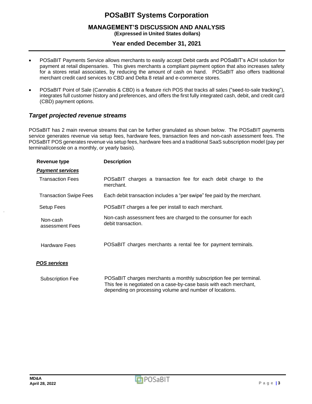### **MANAGEMENT'S DISCUSSION AND ANALYSIS (Expressed in United States dollars)**

# **Year ended December 31, 2021**

- POSaBIT Payments Service allows merchants to easily accept Debit cards and POSaBIT's ACH solution for payment at retail dispensaries. This gives merchants a compliant payment option that also increases safety for a stores retail associates, by reducing the amount of cash on hand. POSaBIT also offers traditional merchant credit card services to CBD and Delta 8 retail and e-commerce stores.
- POSaBIT Point of Sale (Cannabis & CBD) is a feature rich POS that tracks all sales ("seed-to-sale tracking"), integrates full customer history and preferences, and offers the first fully integrated cash, debit, and credit card (CBD) payment options.

### *Target projected revenue streams*

POSaBIT has 2 main revenue streams that can be further granulated as shown below. The POSaBIT payments service generates revenue via setup fees, hardware fees, transaction fees and non-cash assessment fees. The POSaBIT POS generates revenue via setup fees, hardware fees and a traditional SaaS subscription model (pay per terminal/console on a monthly, or yearly basis).

| <b>Revenue type</b>           | <b>Description</b>                                                                                                                                                                                  |
|-------------------------------|-----------------------------------------------------------------------------------------------------------------------------------------------------------------------------------------------------|
| <b>Payment services</b>       |                                                                                                                                                                                                     |
| <b>Transaction Fees</b>       | POSaBIT charges a transaction fee for each debit charge to the<br>merchant.                                                                                                                         |
| <b>Transaction Swipe Fees</b> | Each debit transaction includes a "per swipe" fee paid by the merchant.                                                                                                                             |
| Setup Fees                    | POSaBIT charges a fee per install to each merchant.                                                                                                                                                 |
| Non-cash<br>assessment Fees   | Non-cash assessment fees are charged to the consumer for each<br>debit transaction.                                                                                                                 |
| <b>Hardware Fees</b>          | POSaBIT charges merchants a rental fee for payment terminals.                                                                                                                                       |
| <b>POS services</b>           |                                                                                                                                                                                                     |
| <b>Subscription Fee</b>       | POSaBIT charges merchants a monthly subscription fee per terminal.<br>This fee is negotiated on a case-by-case basis with each merchant,<br>depending on processing volume and number of locations. |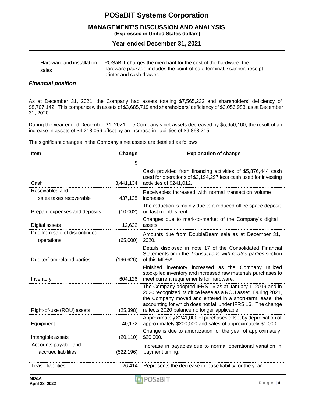#### **MANAGEMENT'S DISCUSSION AND ANALYSIS (Expressed in United States dollars)**

### **Year ended December 31, 2021**

| Hardware and installation | POSaBIT charges the merchant for the cost of the hardware, the         |
|---------------------------|------------------------------------------------------------------------|
| sales                     | hardware package includes the point-of-sale terminal, scanner, receipt |
|                           | printer and cash drawer.                                               |

#### *Financial position*

As at December 31, 2021, the Company had assets totaling \$7,565,232 and shareholders' deficiency of \$8,707,142. This compares with assets of \$3,685,719 and shareholders' deficiency of \$3,056,983, as at December 31, 2020.

During the year ended December 31, 2021, the Company's net assets decreased by \$5,650,160, the result of an increase in assets of \$4,218,056 offset by an increase in liabilities of \$9,868,215.

The significant changes in the Company's net assets are detailed as follows:

| Item                                        | Change     | <b>Explanation of change</b>                                                                                                                                                                                                                                                                         |
|---------------------------------------------|------------|------------------------------------------------------------------------------------------------------------------------------------------------------------------------------------------------------------------------------------------------------------------------------------------------------|
|                                             | \$         |                                                                                                                                                                                                                                                                                                      |
| Cash                                        | 3,441,134  | Cash provided from financing activities of \$5,876,444 cash<br>used for operations of \$2,194,297 less cash used for investing<br>activities of \$241,012.                                                                                                                                           |
| Receivables and<br>sales taxes recoverable  | 437,128    | Receivables increased with normal transaction volume<br>increases.                                                                                                                                                                                                                                   |
| Prepaid expenses and deposits               | (10,002)   | The reduction is mainly due to a reduced office space deposit<br>on last month's rent.                                                                                                                                                                                                               |
| Digital assets                              | 12,632     | Changes due to mark-to-market of the Company's digital<br>assets.                                                                                                                                                                                                                                    |
| Due from sale of discontinued<br>operations | (65,000)   | Amounts due from DoubleBeam sale as at December 31,<br>2020.                                                                                                                                                                                                                                         |
| Due to/from related parties                 | (196, 626) | Details disclosed in note 17 of the Consolidated Financial<br>Statements or in the Transactions with related parties section<br>of this MD&A.                                                                                                                                                        |
| Inventory                                   | 604,126    | Finished inventory increased as the Company utilized<br>stockpiled inventory and increased raw materials purchases to<br>meet current requirements for hardware.                                                                                                                                     |
| Right-of-use (ROU) assets                   | (25, 398)  | The Company adopted IFRS 16 as at January 1, 2019 and in<br>2020 recognized its office lease as a ROU asset. During 2021,<br>the Company moved and entered in a short-term lease, the<br>accounting for which does not fall under IFRS 16. The change<br>reflects 2020 balance no longer applicable. |
| Equipment                                   | 40,172     | Approximately \$241,000 of purchases offset by depreciation of<br>approximately \$200,000 and sales of approximately \$1,000                                                                                                                                                                         |
| Intangible assets                           | (20, 110)  | Change is due to amortization for the year of approximately<br>\$20,000.                                                                                                                                                                                                                             |
| Accounts payable and<br>accrued liabilities | (522, 196) | Increase in payables due to normal operational variation in<br>payment timing.                                                                                                                                                                                                                       |
| Lease liabilities                           | 26,414     | Represents the decrease in lease liability for the year.                                                                                                                                                                                                                                             |
|                                             |            |                                                                                                                                                                                                                                                                                                      |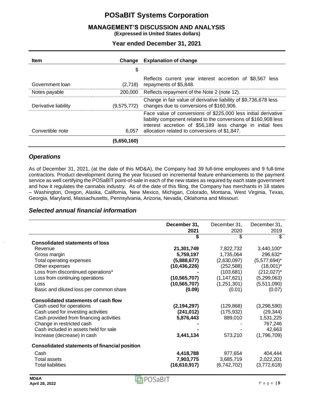# **MANAGEMENT'S DISCUSSION AND ANALYSIS**

**(Expressed in United States dollars)**

**Year ended December 31, 2021**

| <b>Item</b>          | Change      | <b>Explanation of change</b>                                                                                                                                                                                                                      |
|----------------------|-------------|---------------------------------------------------------------------------------------------------------------------------------------------------------------------------------------------------------------------------------------------------|
|                      | \$          |                                                                                                                                                                                                                                                   |
| Government loan      | (2,718)     | Reflects current year interest accretion of \$8,567<br>less<br>repayments of \$5,848.                                                                                                                                                             |
| Notes payable        | 200,000     | Reflects repayment of the Note 2 (note 12).                                                                                                                                                                                                       |
| Derivative liability | (9,575,772) | Change in fair value of derivative liability of \$9,736,678 less<br>changes due to conversions of \$160,906.                                                                                                                                      |
| Convertible note     | 6,057       | Face value of conversions of \$225,000 less initial derivative<br>liability component related to the conversions of \$160,908 less<br>interest accretion of \$56,189 less change in initial fees<br>allocation related to conversions of \$1,847. |
|                      | (5,650,160) |                                                                                                                                                                                                                                                   |

### *Operations*

As of December 31, 2021, (at the date of this MD&A), the Company had 39 full-time employees and 9 full-time contractors. Product development during the year focused on incremental feature enhancements to the payment service as well certifying the POSaBIT point-of-sale in each of the new states as required by each state government and how it regulates the cannabis industry. As of the date of this filing, the Company has merchants in 18 states – Washington, Oregon, Alaska, California, New Mexico, Michigan, Colorado, Montana, West Virginia, Texas, Georgia, Maryland, Massachusetts, Pennsylvania, Arizona, Nevada, Oklahoma and Missouri.

#### *Selected annual financial information*

|                                                      | December 31,<br>2021 | December 31,<br>2020 | December 31,<br>2019 |
|------------------------------------------------------|----------------------|----------------------|----------------------|
|                                                      | \$                   | \$                   | \$                   |
| <b>Consolidated statements of loss</b>               |                      |                      |                      |
| Revenue                                              | 21,301,749           | 7,822,732            | 3,440,100*           |
| Gross margin                                         | 5,759,197            | 1,735,064            | 296,632*             |
| Total operating expenses                             | (5,888,677)          | (2,630,097)          | $(5,577,694)^*$      |
| Other expenses                                       | (10, 436, 226)       | (252, 588)           | $(18,001)^*$         |
| Loss from discontinued operations*                   |                      | (103, 681)           | $(212,027)^*$        |
| Loss from continuing operations                      | (10, 565, 707)       | (1, 147, 621)        | (5,299,063)          |
| Loss                                                 | (10, 565, 707)       | (1,251,301)          | (5,511,090)          |
| Basic and diluted loss per common share              | (0.09)               | (0.01)               | (0.07)               |
| <b>Consolidated statements of cash flow</b>          |                      |                      |                      |
| Cash used for operations                             | (2, 194, 297)        | (129, 868)           | (3,298,590)          |
| Cash used for investing activities                   | (241, 012)           | (175, 932)           | (29, 344)            |
| Cash provided from financing activities              | 5,876,443            | 889,010              | 1,531,225            |
| Change in restricted cash                            |                      |                      | 767,246              |
| Cash included in assets held for sale                |                      |                      | 42,663               |
| Increase (decrease) in cash                          | 3,441,134            | 573,210              | (1,796,709)          |
| <b>Consolidated statements of financial position</b> |                      |                      |                      |
| Cash                                                 | 4,418,788            | 977,654              | 404,444              |
| Total assets                                         | 7,903,775            | 3,685,719            | 2,022,201            |
| <b>Total liabilities</b>                             | (16,610,917)         | (6,742,702)          | (3,772,618)          |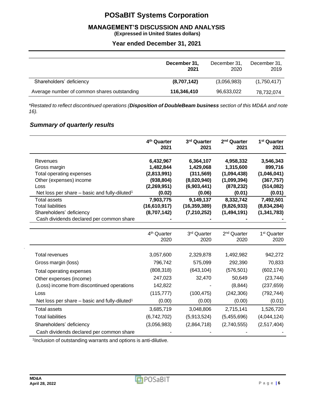# **MANAGEMENT'S DISCUSSION AND ANALYSIS**

**(Expressed in United States dollars)**

# **Year ended December 31, 2021**

|                                             | December 31,<br>2021 | December 31,<br>2020 | December 31,<br>2019 |
|---------------------------------------------|----------------------|----------------------|----------------------|
| Shareholders' deficiency                    | (8,707,142)          | (3,056,983)          | (1,750,417)          |
| Average number of common shares outstanding | 116,346,410          | 96,633,022           | 78,732,074           |

*\*Restated to reflect discontinued operations (Disposition of DoubleBeam business section of this MD&A and note 16).*

# *Summary of quarterly results*

|                                                           | 4 <sup>th</sup> Quarter<br>2021 | 3rd Quarter<br>2021         | 2 <sup>nd</sup> Quarter<br>2021 | 1 <sup>st</sup> Quarter<br>2021 |
|-----------------------------------------------------------|---------------------------------|-----------------------------|---------------------------------|---------------------------------|
| Revenues                                                  | 6,432,967                       | 6,364,107                   | 4,958,332                       | 3,546,343                       |
| Gross margin                                              | 1,482,844                       | 1,429,068                   | 1,315,600                       | 899,716                         |
| Total operating expenses                                  | (2,813,991)                     | (311, 569)                  | (1,094,438)                     | (1,046,041)                     |
| Other (expenses) income                                   | (938, 804)                      | (8,020,940)                 | (1,099,394)                     | (367, 757)                      |
| Loss                                                      | (2,269,951)                     | (6,903,441)                 | (878, 232)                      | (514, 082)                      |
| Net loss per share - basic and fully-diluted <sup>1</sup> | (0.02)                          | (0.06)                      | (0.01)                          | (0.01)                          |
| <b>Total assets</b><br><b>Total liabilities</b>           | 7,903,775<br>(16, 610, 917)     | 9,149,137<br>(16, 359, 389) | 8,332,742<br>(9,826,933)        | 7,492,501<br>(8,834,284)        |
| Shareholders' deficiency                                  | (8,707,142)                     | (7, 210, 252)               | (1,494,191)                     | (1, 341, 783)                   |
| Cash dividends declared per common share                  |                                 |                             |                                 |                                 |
|                                                           |                                 |                             |                                 |                                 |
|                                                           | 4 <sup>th</sup> Quarter         | 3rd Quarter                 | 2 <sup>nd</sup> Quarter         | 1 <sup>st</sup> Quarter         |
|                                                           | 2020                            | 2020                        | 2020                            | 2020                            |
| <b>Total revenues</b>                                     | 3,057,600                       | 2,329,878                   | 1,492,982                       | 942,272                         |
| Gross margin (loss)                                       | 796,742                         | 575,099                     | 292,390                         | 70,833                          |
|                                                           |                                 |                             |                                 |                                 |
| Total operating expenses                                  | (808, 318)                      | (643, 104)                  | (576, 501)                      | (602, 174)                      |
| Other expenses (income)                                   | 247,023                         | 32,470                      | 50,649                          | (23, 744)                       |
| (Loss) income from discontinued operations                | 142,822                         |                             | (8, 844)                        | (237, 659)                      |
| Loss                                                      | (115, 777)                      | (100, 475)                  | (242, 306)                      | (792, 744)                      |
| Net loss per share – basic and fully-diluted <sup>1</sup> | (0.00)                          | (0.00)                      | (0.00)                          | (0.01)                          |
| <b>Total assets</b>                                       | 3,685,719                       | 3,048,806                   | 2,715,141                       | 1,526,720                       |
| <b>Total liabilities</b>                                  | (6,742,702)                     | (5,913,524)                 | (5,455,696)                     | (4,044,124)                     |
| Shareholders' deficiency                                  | (3,056,983)                     | (2,864,718)                 | (2,740,555)                     | (2,517,404)                     |
| Cash dividends declared per common share                  |                                 |                             |                                 |                                 |

1 Inclusion of outstanding warrants and options is anti-dilutive.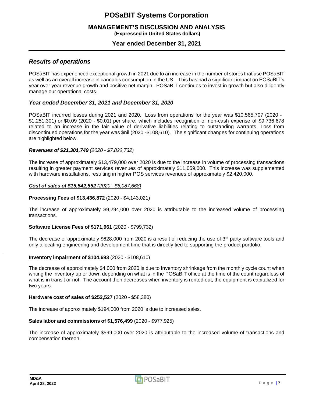#### **MANAGEMENT'S DISCUSSION AND ANALYSIS (Expressed in United States dollars)**

### **Year ended December 31, 2021**

### *Results of operations*

POSaBIT has experienced exceptional growth in 2021 due to an increase in the number of stores that use POSaBIT as well as an overall increase in cannabis consumption in the US. This has had a significant impact on POSaBIT's year over year revenue growth and positive net margin. POSaBIT continues to invest in growth but also diligently manage our operational costs.

### *Year ended December 31, 2021 and December 31, 2020*

POSaBIT incurred losses during 2021 and 2020. Loss from operations for the year was \$10,565,707 (2020 - \$1,251,301) or \$0.09 (2020 - \$0.01) per share, which includes recognition of non-cash expense of \$9,736,678 related to an increase in the fair value of derivative liabilities relating to outstanding warrants. Loss from discontinued operations for the year was \$nil (2020 -\$108,610). The significant changes for continuing operations are highlighted below.

#### *Revenues of \$21,301,749 (2020 - \$7,822,732)*

The increase of approximately \$13,479,000 over 2020 is due to the increase in volume of processing transactions resulting in greater payment services revenues of approximately \$11,059,000. This increase was supplemented with hardware installations, resulting in higher POS services revenues of approximately \$2,420,000.

#### *Cost of sales of \$15,542,552 (2020 - \$6,087,668)*

#### **Processing Fees of \$13,436,872** (2020 - \$4,143,021)

The increase of approximately \$9,294,000 over 2020 is attributable to the increased volume of processing transactions.

#### **Software License Fees of \$171,961** (2020 - \$799,732)

The decrease of approximately \$628,000 from 2020 is a result of reducing the use of  $3^{rd}$  party software tools and only allocating engineering and development time that is directly tied to supporting the product portfolio.

#### **Inventory impairment of \$104,693** (2020 - \$108,610)

The decrease of approximately \$4,000 from 2020 is due to Inventory shrinkage from the monthly cycle count when writing the inventory up or down depending on what is in the POSaBIT office at the time of the count regardless of what is in transit or not. The account then decreases when inventory is rented out, the equipment is capitalized for two years.

#### **Hardware cost of sales of \$252,527** (2020 - \$58,380)

The increase of approximately \$194,000 from 2020 is due to increased sales.

#### **Sales labor and commissions of \$1,576,499** (2020 - \$977,925)

The increase of approximately \$599,000 over 2020 is attributable to the increased volume of transactions and compensation thereon.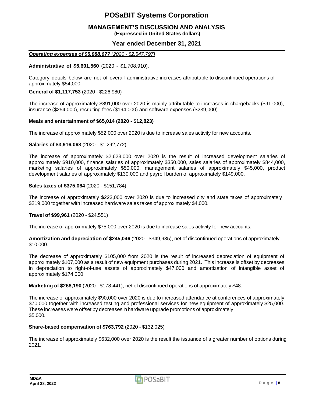# **MANAGEMENT'S DISCUSSION AND ANALYSIS**

**(Expressed in United States dollars)**

### **Year ended December 31, 2021**

#### *Operating expenses of \$5,888,677 (2020 - \$2,547,797)*

#### **Administrative of \$5,601,560** (2020 - \$1,708,910).

Category details below are net of overall administrative increases attributable to discontinued operations of approximately \$54,000.

#### **General of \$1,117,753** (2020 - \$226,980)

The increase of approximately \$891,000 over 2020 is mainly attributable to increases in chargebacks (\$91,000), insurance (\$254,000), recruiting fees (\$194,000) and software expenses (\$239,000).

#### **Meals and entertainment of \$65,014 (2020 - \$12,823)**

The increase of approximately \$52,000 over 2020 is due to increase sales activity for new accounts.

#### **Salaries of \$3,916,068** (2020 - \$1,292,772)

The increase of approximately \$2,623,000 over 2020 is the result of increased development salaries of approximately \$910,000, finance salaries of approximately \$350,000, sales salaries of approximately \$844,000, marketing salaries of approximately \$50,000, management salaries of approximately \$45,000, product development salaries of approximately \$130,000 and payroll burden of approximately \$149,000.

#### **Sales taxes of \$375,064** (2020 - \$151,784)

The increase of approximately \$223,000 over 2020 is due to increased city and state taxes of approximately \$219,000 together with increased hardware sales taxes of approximately \$4,000.

#### **Travel of \$99,961** (2020 - \$24,551)

The increase of approximately \$75,000 over 2020 is due to increase sales activity for new accounts.

**Amortization and depreciation of \$245,046** (2020 - \$349,935), net of discontinued operations of approximately \$10,000.

The decrease of approximately \$105,000 from 2020 is the result of increased depreciation of equipment of approximately \$107,000 as a result of new equipment purchases during 2021. This increase is offset by decreases in depreciation to right-of-use assets of approximately \$47,000 and amortization of intangible asset of approximately \$174,000.

**Marketing of \$268,190** (2020 - \$178,441), net of discontinued operations of approximately \$48.

The increase of approximately \$90,000 over 2020 is due to increased attendance at conferences of approximately \$70,000 together with increased testing and professional services for new equipment of approximately \$25,000. These increases were offset by decreases in hardware upgrade promotions of approximately \$5,000.

#### **Share-based compensation of \$763,792** (2020 - \$132,025)

The increase of approximately \$632,000 over 2020 is the result the issuance of a greater number of options during 2021.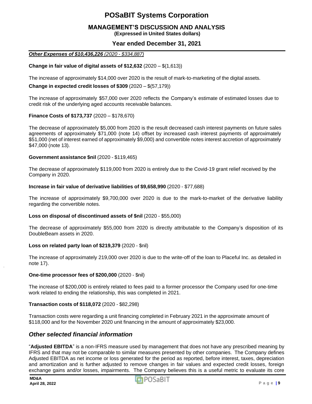# **MANAGEMENT'S DISCUSSION AND ANALYSIS**

**(Expressed in United States dollars)**

### **Year ended December 31, 2021**

#### *Other Expenses of \$10,436,226 (2020 - \$334,887)*

#### **Change in fair value of digital assets of \$12,632** (2020 – \$(1,613))

The increase of approximately \$14,000 over 2020 is the result of mark-to-marketing of the digital assets.

#### **Change in expected credit losses of \$309** (2020 – \$(57,179))

The increase of approximately \$57,000 over 2020 reflects the Company's estimate of estimated losses due to credit risk of the underlying aged accounts receivable balances.

#### **Finance Costs of \$173,737** (2020 – \$178,670)

The decrease of approximately \$5,000 from 2020 is the result decreased cash interest payments on future sales agreements of approximately \$71,000 (note 14) offset by increased cash interest payments of approximately \$51,000 (net of interest earned of approximately \$9,000) and convertible notes interest accretion of approximately \$47,000 (note 13).

#### **Government assistance \$nil** (2020 - \$119,465)

The decrease of approximately \$119,000 from 2020 is entirely due to the Covid-19 grant relief received by the Company in 2020.

#### **Increase in fair value of derivative liabilities of \$9,658,990** (2020 - \$77,688)

The increase of approximately \$9,700,000 over 2020 is due to the mark-to-market of the derivative liability regarding the convertible notes.

#### **Loss on disposal of discontinued assets of \$nil** (2020 - \$55,000)

The decrease of approximately \$55,000 from 2020 is directly attributable to the Company's disposition of its DoubleBeam assets in 2020.

#### **Loss on related party loan of \$219,379** (2020 - \$nil)

The increase of approximately 219,000 over 2020 is due to the write-off of the loan to Placeful Inc. as detailed in note 17).

#### **One-time processor fees of \$200,000** (2020 - \$nil)

The increase of \$200,000 is entirely related to fees paid to a former processor the Company used for one-time work related to ending the relationship, this was completed in 2021.

#### **Transaction costs of \$118,072** (2020 - \$82,298)

Transaction costs were regarding a unit financing completed in February 2021 in the approximate amount of \$118,000 and for the November 2020 unit financing in the amount of approximately \$23,000.

### *Other selected financial information*

"**Adjusted EBITDA**" is a non-IFRS measure used by management that does not have any prescribed meaning by IFRS and that may not be comparable to similar measures presented by other companies. The Company defines Adjusted EBITDA as net income or loss generated for the period as reported, before interest, taxes, depreciation and amortization and is further adjusted to remove changes in fair values and expected credit losses, foreign exchange gains and/or losses, impairments. The Company believes this is a useful metric to evaluate its core

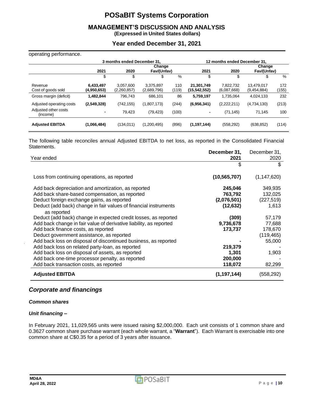# **MANAGEMENT'S DISCUSSION AND ANALYSIS**

**(Expressed in United States dollars)**

### **Year ended December 31, 2021**

#### operating performance.

| ັ່                               | 3 months ended December 31, |                          |                          |              |                            | 12 months ended December 31, |                           |              |  |
|----------------------------------|-----------------------------|--------------------------|--------------------------|--------------|----------------------------|------------------------------|---------------------------|--------------|--|
|                                  |                             |                          | Change                   |              |                            |                              |                           | Change       |  |
|                                  | 2021                        | 2020                     | Fav/(Unfav)              |              | 2021                       | 2020                         | Fav/(Unfav)               |              |  |
|                                  | \$                          | \$                       | \$                       | %            | \$                         | \$                           | S                         | %            |  |
| Revenue<br>Cost of goods sold    | 6.433.497<br>(4,950,653)    | 3,057,600<br>(2,260,857) | 3,375,897<br>(2,689,796) | 110<br>(119) | 21,301,749<br>(15,542,552) | 7,822,732<br>(6,087,668)     | 13,479,017<br>(9,454,884) | 172<br>(155) |  |
| Gross margin (deficit)           | 1,482,844                   | 796.743                  | 686.101                  | 86           | 5,759,197                  | 1.735.064                    | 4,024,133                 | 232          |  |
| Adjusted operating costs         | (2,549,328)                 | (742, 155)               | (1,807,173)              | (244)        | (6,956,341)                | (2,222,211)                  | (4,734,130)               | (213)        |  |
| Adjusted other costs<br>(income) |                             | 79.423                   | (79, 423)                | (100)        | ٠                          | (71, 145)                    | 71.145                    | 100          |  |
| <b>Adjusted EBITDA</b>           | (1,066,484)                 | (134, 011)               | (1,200,495)              | (896)        | (1, 197, 144)              | (558, 292)                   | (638, 852)                | (114)        |  |

The following table reconciles annual Adjusted EBITDA to net loss, as reported in the Consolidated Financial Statements.

|                                                                    | December 31,   | December 31,  |
|--------------------------------------------------------------------|----------------|---------------|
| Year ended                                                         | 2021           | 2020          |
|                                                                    | \$             | \$            |
| Loss from continuing operations, as reported                       | (10, 565, 707) | (1, 147, 620) |
| Add back depreciation and amortization, as reported                | 245,046        | 349,935       |
| Add back share-based compensation, as reported                     | 763,792        | 132,025       |
| Deduct foreign exchange gains, as reported                         | (2,076,501)    | (227, 519)    |
| Deduct (add back) change in fair values of financial instruments   | (12, 632)      | 1,613         |
| as reported                                                        |                |               |
| Deduct (add back) change in expected credit losses, as reported    | (309)          | 57,179        |
| Add back change in fair value of derivative liability, as reported | 9,736,678      | 77,688        |
| Add back finance costs, as reported                                | 173,737        | 178,670       |
| Deduct government assistance, as reported                          |                | (119, 465)    |
| Add back loss on disposal of discontinued business, as reported    |                | 55,000        |
| Add back loss on related party-loan, as reported                   | 219,379        |               |
| Add back loss on disposal of assets, as reported                   | 1,301          | 1,903         |
| Add back one-time processor penalty, as reported                   | 200,000        |               |
| Add back transaction costs, as reported                            | 118,072        | 82,299        |
| <b>Adjusted EBITDA</b>                                             | (1, 197, 144)  | (558, 292)    |

### *Corporate and financings*

#### *Common shares*

#### *Unit financing –*

In February 2021, 11,029,565 units were issued raising \$2,000,000. Each unit consists of 1 common share and 0.3627 common share purchase warrant (each whole warrant, a "**Warrant**"). Each Warrant is exercisable into one common share at C\$0.35 for a period of 3 years after issuance.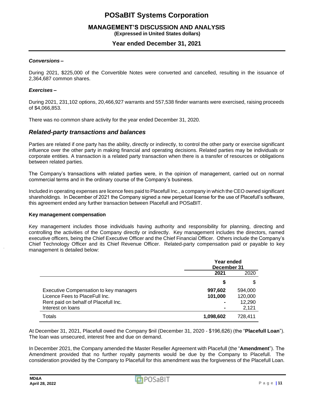# **MANAGEMENT'S DISCUSSION AND ANALYSIS**

**(Expressed in United States dollars)**

### **Year ended December 31, 2021**

#### *Conversions –*

During 2021, \$225,000 of the Convertible Notes were converted and cancelled, resulting in the issuance of 2,364,687 common shares.

#### *Exercises –*

During 2021, 231,102 options, 20,466,927 warrants and 557,538 finder warrants were exercised, raising proceeds of \$4,066,853.

There was no common share activity for the year ended December 31, 2020.

#### *Related-party transactions and balances*

Parties are related if one party has the ability, directly or indirectly, to control the other party or exercise significant influence over the other party in making financial and operating decisions. Related parties may be individuals or corporate entities. A transaction is a related party transaction when there is a transfer of resources or obligations between related parties.

The Company's transactions with related parties were, in the opinion of management, carried out on normal commercial terms and in the ordinary course of the Company's business.

Included in operating expenses are licence fees paid to Placefull Inc., a company in which the CEO owned significant shareholdings. In December of 2021 the Company signed a new perpetual license for the use of Placefull's software, this agreement ended any further transaction between Placefull and POSaBIT.

#### **Key management compensation**

Key management includes those individuals having authority and responsibility for planning, directing and controlling the activities of the Company directly or indirectly. Key management includes the directors, named executive officers, being the Chief Executive Officer and the Chief Financial Officer. Others include the Company's Chief Technology Officer and its Chief Revenue Officer. Related-party compensation paid or payable to key management is detailed below:

|                                        | Year ended  |         |  |
|----------------------------------------|-------------|---------|--|
|                                        | December 31 |         |  |
|                                        | 2021        | 2020    |  |
|                                        | S           |         |  |
| Executive Compensation to key managers | 997,602     | 594,000 |  |
| Licence Fees to Place Full Inc.        | 101,000     | 120,000 |  |
| Rent paid on behalf of Placefull Inc.  |             | 12,290  |  |
| Interest on loans                      |             | 2,121   |  |
| Totals                                 | 1,098,602   | 728,411 |  |

At December 31, 2021, Placefull owed the Company \$nil (December 31, 2020 - \$196,626) (the "**Placefull Loan**"). The loan was unsecured, interest free and due on demand.

In December 2021, the Company amended the Master Reseller Agreement with Placefull (the "**Amendment**"). The Amendment provided that no further royalty payments would be due by the Company to Placefull. The consideration provided by the Company to Placefull for this amendment was the forgiveness of the Placefull Loan.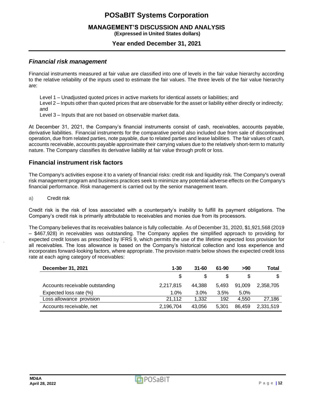#### **MANAGEMENT'S DISCUSSION AND ANALYSIS (Expressed in United States dollars)**

# **Year ended December 31, 2021**

### *Financial risk management*

Financial instruments measured at fair value are classified into one of levels in the fair value hierarchy according to the relative reliability of the inputs used to estimate the fair values. The three levels of the fair value hierarchy are:

Level 1 – Unadjusted quoted prices in active markets for identical assets or liabilities; and

Level 2 – Inputs other than quoted prices that are observable for the asset or liability either directly or indirectly; and

Level 3 – Inputs that are not based on observable market data.

At December 31, 2021, the Company's financial instruments consist of cash, receivables, accounts payable, derivative liabilities. Financial instruments for the comparative period also included due from sale of discontinued operation, due from related parties, note payable, due to related parties and lease labilities. The fair values of cash, accounts receivable, accounts payable approximate their carrying values due to the relatively short-term to maturity nature. The Company classifies its derivative liability at fair value through profit or loss.

### **Financial instrument risk factors**

The Company's activities expose it to a variety of financial risks: credit risk and liquidity risk. The Company's overall risk management program and business practices seek to minimize any potential adverse effects on the Company's financial performance. Risk management is carried out by the senior management team.

a) Credit risk

Credit risk is the risk of loss associated with a counterparty's inability to fulfill its payment obligations. The Company's credit risk is primarily attributable to receivables and monies due from its processors.

The Company believes that its receivables balance is fully collectable. As of December 31, 2020, \$1,921,568 (2019 – \$467,928) in receivables was outstanding. The Company applies the simplified approach to providing for expected credit losses as prescribed by IFRS 9, which permits the use of the lifetime expected loss provision for all receivables. The loss allowance is based on the Company's historical collection and loss experience and incorporates forward-looking factors, where appropriate. The provision matrix below shows the expected credit loss rate at each aging category of receivables:

| <b>December 31, 2021</b>        | $1 - 30$  | $31 - 60$ | 61-90 | >90    | Total     |
|---------------------------------|-----------|-----------|-------|--------|-----------|
|                                 |           |           |       |        |           |
| Accounts receivable outstanding | 2,217,815 | 44.388    | 5.493 | 91.009 | 2.358.705 |
| Expected loss rate (%)          | 1.0%      | 3.0%      | 3.5%  | 5.0%   |           |
| Loss allowance provision        | 21.112    | 1.332     | 192   | 4.550  | 27.186    |
| Accounts receivable, net        | 2,196,704 | 43.056    | 5.301 | 86.459 | 2,331,519 |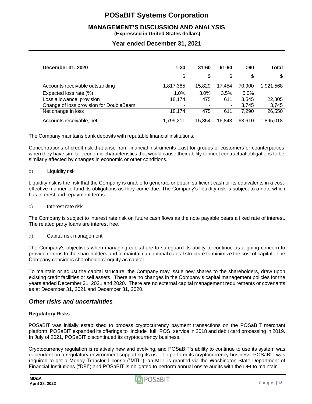# **MANAGEMENT'S DISCUSSION AND ANALYSIS**

**(Expressed in United States dollars)**

### **Year ended December 31, 2021**

| December 31, 2020                       | $1 - 30$  | $31 - 60$ | 61-90  | >90    | <b>Total</b> |
|-----------------------------------------|-----------|-----------|--------|--------|--------------|
|                                         | \$        | \$        | \$     | \$     | \$           |
| Accounts receivable outstanding         | 1,817,385 | 15.829    | 17.454 | 70.900 | 1,921,568    |
| Expected loss rate (%)                  | 1.0%      | 3.0%      | 3.5%   | 5.0%   |              |
| Loss allowance provision                | 18,174    | 475       | 611    | 3.545  | 22,805       |
| Change of loss provision for DoubleBeam | -         |           | ۰      | 3.745  | 3,745        |
| Net change in loss                      | 18.174    | 475       | 611    | 7.290  | 26,550       |
| Accounts receivable, net                | 1,799,211 | 15,354    | 16.843 | 63,610 | 1,895,018    |

The Company maintains bank deposits with reputable financial institutions.

Concentrations of credit risk that arise from financial instruments exist for groups of customers or counterparties when they have similar economic characteristics that would cause their ability to meet contractual obligations to be similarly affected by changes in economic or other conditions.

b) Liquidity risk

Liquidity risk is the risk that the Company is unable to generate or obtain sufficient cash or its equivalents in a costeffective manner to fund its obligations as they come due. The Company's liquidity risk is subject to a note which has interest and repayment terms.

c) Interest rate risk

The Company is subject to interest rate risk on future cash flows as the note payable bears a fixed rate of interest. The related party loans are interest free.

d) Capital risk management

The Company's objectives when managing capital are to safeguard its ability to continue as a going concern to provide returns to the shareholders and to maintain an optimal capital structure to minimize the cost of capital. The Company considers shareholders' equity as capital.

To maintain or adjust the capital structure, the Company may issue new shares to the shareholders, draw upon existing credit facilities or sell assets. There are no changes in the Company's capital management policies for the years ended December 31, 2021 and 2020. There are no external capital management requirements or covenants as at December 31, 2021 and December 31, 2020.

### *Other risks and uncertainties*

#### **Regulatory Risks**

POSaBIT was initially established to process cryptocurrency payment transactions on the POSaBIT merchant platform, POSaBIT expanded its offerings to include full POS service in 2018 and debit card processing in 2019. In July of 2021, POSaBIT discontinued its cryptocurrency business.

Cryptocurrency regulation is relatively new and evolving, and POSaBIT's ability to continue to use its system was dependent on a regulatory environment supporting its use. To perform its cryptocurrency business, POSaBIT was required to get a Money Transfer License ("MTL"), an MTL is granted via the Washington State Department of Financial Institutions ("DFI") and POSaBIT is obligated to perform annual onsite audits with the DFI to maintain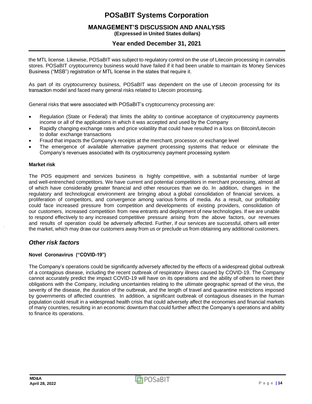#### **MANAGEMENT'S DISCUSSION AND ANALYSIS (Expressed in United States dollars)**

# **Year ended December 31, 2021**

the MTL license. Likewise, POSaBIT was subject to regulatory control on the use of Litecoin processing in cannabis stores. POSaBIT cryptocurrency business would have failed if it had been unable to maintain its Money Services Business ("MSB") registration or MTL license in the states that require it.

As part of its cryptocurrency business, POSaBIT was dependent on the use of Litecoin processing for its transaction model and faced many general risks related to Litecoin processing.

General risks that were associated with POSaBIT's cryptocurrency processing are:

- Regulation (State or Federal) that limits the ability to continue acceptance of cryptocurrency payments income or all of the applications in which it was accepted and used by the Company
- Rapidly changing exchange rates and price volatility that could have resulted in a loss on Bitcoin/Litecoin to dollar exchange transactions
- Fraud that impacts the Company's receipts at the merchant, processor, or exchange level
- The emergence of available alternative payment processing systems that reduce or eliminate the Company's revenues associated with its cryptocurrency payment processing system

#### **Market risk**

The POS equipment and services business is highly competitive, with a substantial number of large and well-entrenched competitors. We have current and potential competitors in merchant processing, almost all of which have considerably greater financial and other resources than we do. In addition, changes in the regulatory and technological environment are bringing about a global consolidation of financial services, a proliferation of competitors, and convergence among various forms of media. As a result, our profitability could face increased pressure from competition and developments of existing providers, consolidation of our customers, increased competition from new entrants and deployment of new technologies. If we are unable to respond effectively to any increased competitive pressure arising from the above factors, our revenues and results of operation could be adversely affected. Further, if our services are successful, others will enter the market, which may draw our customers away from us or preclude us from obtaining any additional customers.

### *Other risk factors*

#### **Novel Coronavirus ("COVID-19")**

The Company's operations could be significantly adversely affected by the effects of a widespread global outbreak of a contagious disease, including the recent outbreak of respiratory illness caused by COVID-19. The Company cannot accurately predict the impact COVID-19 will have on its operations and the ability of others to meet their obligations with the Company, including uncertainties relating to the ultimate geographic spread of the virus, the severity of the disease, the duration of the outbreak, and the length of travel and quarantine restrictions imposed by governments of affected countries. In addition, a significant outbreak of contagious diseases in the human population could result in a widespread health crisis that could adversely affect the economies and financial markets of many countries, resulting in an economic downturn that could further affect the Company's operations and ability to finance its operations.